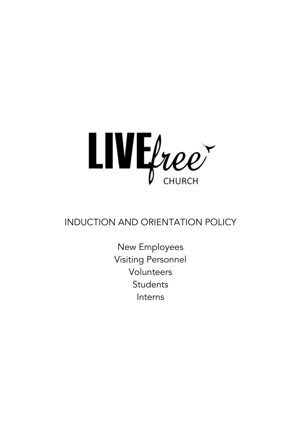

## INDUCTION AND ORIENTATION POLICY

New Employees Visiting Personnel Volunteers **Students** Interns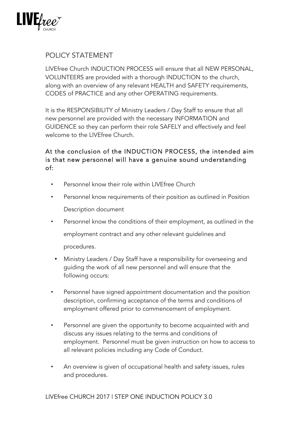

## POLICY STATEMENT

LIVEfree Church INDUCTION PROCESS will ensure that all NEW PERSONAL, VOLUNTEERS are provided with a thorough INDUCTION to the church, along with an overview of any relevant HEALTH and SAFETY requirements, CODES of PRACTICE and any other OPERATING requirements.

It is the RESPONSIBILITY of Ministry Leaders / Day Staff to ensure that all new personnel are provided with the necessary INFORMATION and GUIDENCE so they can perform their role SAFELY and effectively and feel welcome to the LIVEfree Church.

## At the conclusion of the INDUCTION PROCESS, the intended aim is that new personnel will have a genuine sound understanding of:

- Personnel know their role within LIVEfree Church
- Personnel know requirements of their position as outlined in Position Description document
- Personnel know the conditions of their employment, as outlined in the employment contract and any other relevant guidelines and procedures.
- Ministry Leaders / Day Staff have a responsibility for overseeing and guiding the work of all new personnel and will ensure that the following occurs:
- Personnel have signed appointment documentation and the position description, confirming acceptance of the terms and conditions of employment offered prior to commencement of employment.
- Personnel are given the opportunity to become acquainted with and discuss any issues relating to the terms and conditions of employment. Personnel must be given instruction on how to access to all relevant policies including any Code of Conduct.
- An overview is given of occupational health and safety issues, rules and procedures.